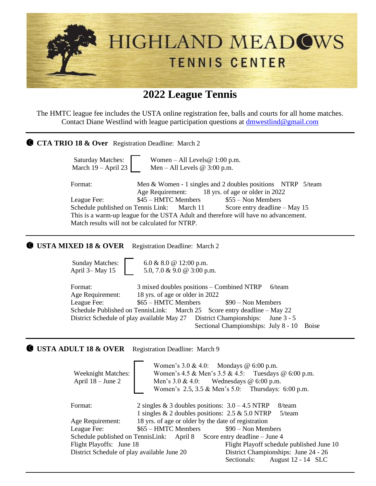

The HMTC league fee includes the USTA online registration fee, balls and courts for all home matches. Contact Diane Westlind with league participation questions at dmwestlind@gmail.com

| <b>CTA TRIO 18 &amp; Over</b> Registration Deadline: March 2                                                                                                                                                                                                                                                                                                                                                                                                                                                                                                         |  |
|----------------------------------------------------------------------------------------------------------------------------------------------------------------------------------------------------------------------------------------------------------------------------------------------------------------------------------------------------------------------------------------------------------------------------------------------------------------------------------------------------------------------------------------------------------------------|--|
| <b>Saturday Matches:</b><br>Women – All Levels $@ 1:00 p.m.$<br>March 19 - April 23<br>Men – All Levels @ $3:00$ p.m.                                                                                                                                                                                                                                                                                                                                                                                                                                                |  |
| Format:<br>Men & Women - 1 singles and 2 doubles positions NTRP 5/team<br>18 yrs. of age or older in 2022<br>Age Requirement:<br>\$45 - HMTC Members<br>$$55 - Non Members$<br>League Fee:<br>Schedule published on Tennis Link:<br>Score entry deadline - May 15<br>March 11<br>This is a warm-up league for the USTA Adult and therefore will have no advancement.<br>Match results will not be calculated for NTRP.                                                                                                                                               |  |
| <b>USTA MIXED 18 &amp; OVER</b><br>Registration Deadline: March 2                                                                                                                                                                                                                                                                                                                                                                                                                                                                                                    |  |
| <b>Sunday Matches:</b><br>6.0 & 8.0 @ 12:00 p.m.<br>April 3-May 15<br>5.0, 7.0 & 9.0 @ 3:00 p.m.                                                                                                                                                                                                                                                                                                                                                                                                                                                                     |  |
| Format:<br>3 mixed doubles positions – Combined NTRP<br>$6$ /team<br>18 yrs. of age or older in 2022<br>Age Requirement:<br>\$65 - HMTC Members<br>League Fee:<br>$$90 - Non Members$<br>Schedule Published on TennisLink:<br>March 25<br>Score entry deadline – May 22<br><b>District Championships:</b><br>District Schedule of play available May 27<br>June 3 - 5<br>Sectional Championships: July 8 - 10<br><b>Boise</b>                                                                                                                                        |  |
| <b>USTA ADULT 18 &amp; OVER</b><br>Registration Deadline: March 9                                                                                                                                                                                                                                                                                                                                                                                                                                                                                                    |  |
| Women's $3.0 \& 4.0$ : Mondays @ 6:00 p.m.<br>Women's 4.5 & Men's 3.5 & 4.5:<br>Tuesdays @ 6:00 p.m.<br><b>Weeknight Matches:</b><br>April 18 - June 2<br>Men's $3.0 \& 4.0$ : Wednesdays @ 6:00 p.m.<br>Thursdays: 6:00 p.m.<br>Women's 2.5, 3.5 & Men's 5.0:                                                                                                                                                                                                                                                                                                       |  |
| 2 singles & 3 doubles positions: $3.0 - 4.5$ NTRP<br>8/team<br>Format:<br>1 singles & 2 doubles positions: 2.5 & 5.0 NTRP<br>$5/$ team<br>18 yrs. of age or older by the date of registration<br>Age Requirement:<br>\$65 - HMTC Members<br>League Fee:<br>$$90 - Non Members$<br>Schedule published on TennisLink:<br>Score entry deadline - June 4<br>April 8<br>Flight Playoffs: June 18<br>Flight Playoff schedule published June 10<br>District Schedule of play available June 20<br>District Championships: June 24 - 26<br>Sectionals:<br>August 12 - 14 SLC |  |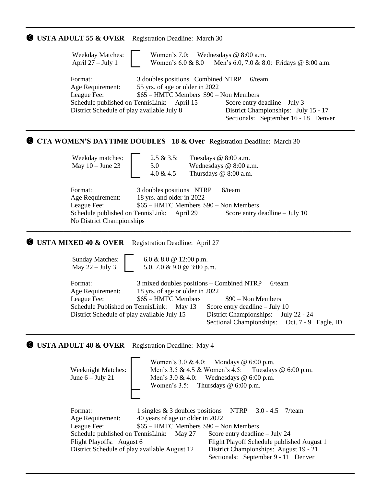## **USTA ADULT 55 & OVER** Registration Deadline: March 30

| <b>Weekday Matches:</b><br>Women's 7.0: Wednesdays $@ 8:00 a.m.$<br>April $27 - July 1$<br>Women's $6.0 \& 8.0$ Men's $6.0, 7.0 \& 8.0$ : Fridays @ 8:00 a.m.                                                                                                                                                                                                                            |  |
|------------------------------------------------------------------------------------------------------------------------------------------------------------------------------------------------------------------------------------------------------------------------------------------------------------------------------------------------------------------------------------------|--|
| 3 doubles positions Combined NTRP<br>Format:<br>$6$ /team<br>55 yrs. of age or older in 2022<br>Age Requirement:<br>\$65 – HMTC Members \$90 – Non Members<br>League Fee:<br>Schedule published on TennisLink: April 15<br>Score entry deadline $-$ July 3<br>District Schedule of play available July 8<br>District Championships: July 15 - 17<br>Sectionals: September 16 - 18 Denver |  |
| <b>CTA WOMEN'S DAYTIME DOUBLES 18 &amp; Over Registration Deadline: March 30</b>                                                                                                                                                                                                                                                                                                         |  |
| $2.5 & 3.5$ :<br>Weekday matches:<br>Tuesdays @ 8:00 a.m.<br>May $10 -$ June 23<br>3.0<br>Wednesdays @ 8:00 a.m.<br>$4.0 \& 4.5$<br>Thursdays @ 8:00 a.m.                                                                                                                                                                                                                                |  |
| Format:<br>3 doubles positions NTRP<br>$6$ /team<br>18 yrs. and older in 2022<br>Age Requirement:<br>League Fee:<br>\$65 – HMTC Members \$90 – Non Members<br>Schedule published on TennisLink: April 29<br>Score entry deadline $-$ July 10                                                                                                                                             |  |

**\_\_\_\_\_\_\_\_\_\_\_\_\_\_\_\_\_\_\_\_\_\_\_\_\_\_\_\_\_\_\_\_\_\_\_\_\_\_\_\_\_\_\_\_\_\_\_\_\_\_\_\_\_\_\_\_\_\_\_\_\_\_\_\_\_\_\_\_\_\_\_\_\_\_\_\_\_\_\_\_\_\_\_\_\_\_\_\_\_\_\_\_\_\_\_\_**

No District Championships

## **C USTA MIXED 40 & OVER** Registration Deadline: April 27

 Sunday Matches: May  $22 -$  July 3 6.0 & 8.0 @ 12:00 p.m. 5.0, 7.0 & 9.0 @ 3:00 p.m.

| Format:                                     |                                 | $3$ mixed doubles positions – Combined NTRP – 6/team |
|---------------------------------------------|---------------------------------|------------------------------------------------------|
| Age Requirement:                            | 18 yrs. of age or older in 2022 |                                                      |
| League Fee:                                 | \$65 – HMTC Members             | \$90 – Non Members                                   |
| Schedule Published on TennisLink: May 13    |                                 | Score entry deadline $-$ July 10                     |
| District Schedule of play available July 15 |                                 | District Championships: July 22 - 24                 |
|                                             |                                 | Sectional Championships: Oct. 7 - 9 Eagle, ID        |

## **USTA ADULT 40 & OVER** Registration Deadline: May 4

| <b>Weeknight Matches:</b><br>June $6 -$ July 21                                                                          | Women's $3.0 \& 4.0$ : Mondays @ 6:00 p.m.<br>Men's $3.5 \& 4.5 \&$ Women's $4.5$ : Tuesdays @ 6:00 p.m.<br>Men's $3.0 \& 4.0$ : Wednesdays @ 6:00 p.m.<br>Women's 3.5: Thursdays $@$ 6:00 p.m.                                                                                                                                                            |
|--------------------------------------------------------------------------------------------------------------------------|------------------------------------------------------------------------------------------------------------------------------------------------------------------------------------------------------------------------------------------------------------------------------------------------------------------------------------------------------------|
| Format:<br>Age Requirement:<br>League Fee:<br>Flight Playoffs: August 6<br>District Schedule of play available August 12 | 1 singles $\&$ 3 doubles positions NTRP<br>$3.0 - 4.5$ 7/team<br>40 years of age or older in 2022<br>\$65 - HMTC Members \$90 - Non Members<br>Schedule published on TennisLink: May 27<br>Score entry deadline $-$ July 24<br>Flight Playoff Schedule published August 1<br>District Championships: August 19 - 21<br>Sectionals: September 9 - 11 Denver |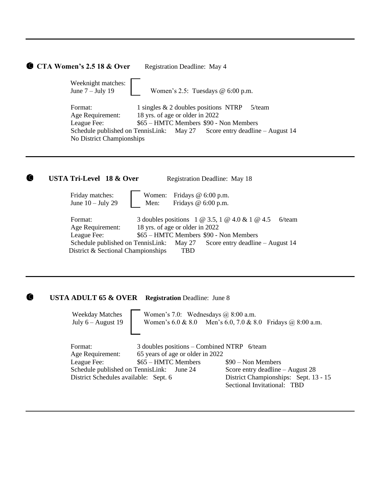|         | CTA Women's 2.5 18 & Over                                                                                     | Registration Deadline: May 4                                                                                                                 |                                                                                                                                 |
|---------|---------------------------------------------------------------------------------------------------------------|----------------------------------------------------------------------------------------------------------------------------------------------|---------------------------------------------------------------------------------------------------------------------------------|
|         | Weeknight matches:<br>June $7 -$ July 19                                                                      | Women's $2.5$ : Tuesdays @ $6:00$ p.m.                                                                                                       |                                                                                                                                 |
| Format: | Age Requirement:<br>League Fee:<br>Schedule published on TennisLink:<br>No District Championships             | 1 singles $\&$ 2 doubles positions NTRP<br>18 yrs. of age or older in 2022<br>\$65 - HMTC Members \$90 - Non Members<br>May 27               | $5$ /team<br>Score entry deadline $-$ August 14                                                                                 |
| C       | <b>USTA Tri-Level 18 &amp; Over</b>                                                                           | Registration Deadline: May 18                                                                                                                |                                                                                                                                 |
|         | Friday matches:<br>June $10 -$ July 29                                                                        | Fridays $@6:00 p.m.$<br>Women:<br>Fridays @ 6:00 p.m.<br>Men:                                                                                |                                                                                                                                 |
| Format: | Age Requirement:<br>League Fee:<br>Schedule published on TennisLink:<br>District & Sectional Championships    | 3 doubles positions 1 @ 3.5, 1 @ 4.0 & 1 @ 4.5<br>18 yrs. of age or older in 2022<br>\$65 – HMTC Members \$90 - Non Members<br>May 27<br>TBD | $6$ /team<br>Score entry deadline $-$ August 14                                                                                 |
| J.      | <b>USTA ADULT 65 &amp; OVER</b>                                                                               | <b>Registration Deadline: June 8</b>                                                                                                         |                                                                                                                                 |
|         | <b>Weekday Matches</b><br>July $6 -$ August 19                                                                | Women's 7.0: Wednesdays $@8:00$ a.m.<br>Women's $6.0 \& 8.0$                                                                                 | Men's 6.0, 7.0 & 8.0 Fridays @ 8:00 a.m.                                                                                        |
| Format: | Age Requirement:<br>League Fee:<br>Schedule published on TennisLink:<br>District Schedules available: Sept. 6 | 3 doubles positions – Combined NTRP 6/team<br>65 years of age or older in 2022<br>\$65 - HMTC Members<br>June 24                             | $$90 - Non Members$<br>Score entry deadline – August 28<br>District Championships: Sept. 13 - 15<br>Sectional Invitational: TBD |